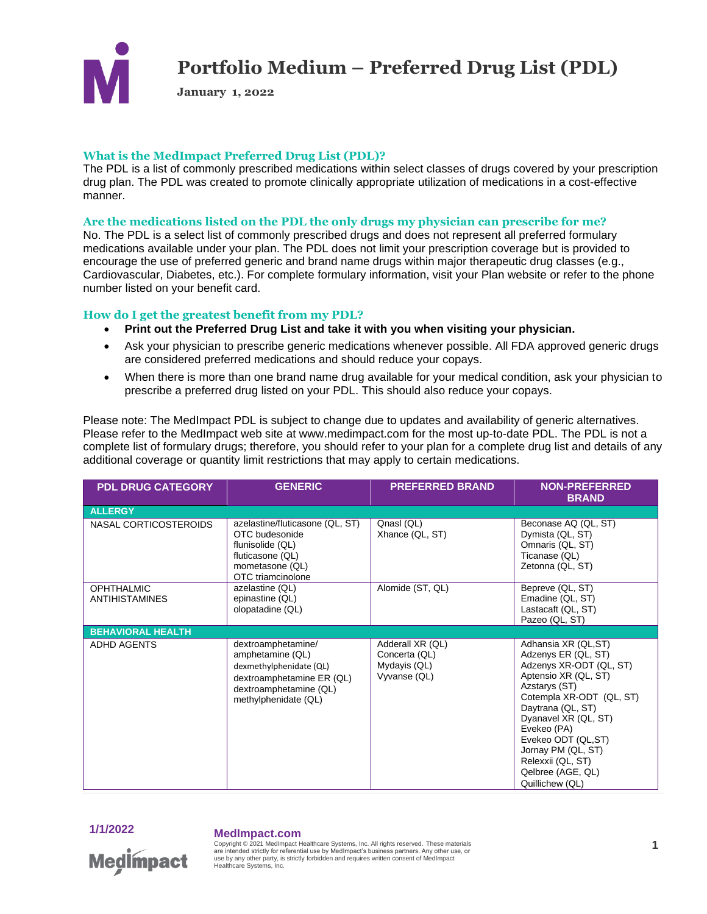

**January 1, 2022**

#### **What is the MedImpact Preferred Drug List (PDL)?**

The PDL is a list of commonly prescribed medications within select classes of drugs covered by your prescription drug plan. The PDL was created to promote clinically appropriate utilization of medications in a cost-effective manner.

#### **Are the medications listed on the PDL the only drugs my physician can prescribe for me?**

No. The PDL is a select list of commonly prescribed drugs and does not represent all preferred formulary medications available under your plan. The PDL does not limit your prescription coverage but is provided to encourage the use of preferred generic and brand name drugs within major therapeutic drug classes (e.g., Cardiovascular, Diabetes, etc.). For complete formulary information, visit your Plan website or refer to the phone number listed on your benefit card.

### **How do I get the greatest benefit from my PDL?**

- **Print out the Preferred Drug List and take it with you when visiting your physician.**
- Ask your physician to prescribe generic medications whenever possible. All FDA approved generic drugs are considered preferred medications and should reduce your copays.
- When there is more than one brand name drug available for your medical condition, ask your physician to prescribe a preferred drug listed on your PDL. This should also reduce your copays.

Please note: The MedImpact PDL is subject to change due to updates and availability of generic alternatives. Please refer to the MedImpact web site at www.medimpact.com for the most up-to-date PDL. The PDL is not a complete list of formulary drugs; therefore, you should refer to your plan for a complete drug list and details of any additional coverage or quantity limit restrictions that may apply to certain medications.

| <b>PDL DRUG CATEGORY</b>            | <b>GENERIC</b>                                                                                                                                   | <b>PREFERRED BRAND</b>                                            | <b>NON-PREFERRED</b><br><b>BRAND</b>                                                                                                                                                                                                                                                                            |
|-------------------------------------|--------------------------------------------------------------------------------------------------------------------------------------------------|-------------------------------------------------------------------|-----------------------------------------------------------------------------------------------------------------------------------------------------------------------------------------------------------------------------------------------------------------------------------------------------------------|
| <b>ALLERGY</b>                      |                                                                                                                                                  |                                                                   |                                                                                                                                                                                                                                                                                                                 |
| NASAL CORTICOSTEROIDS               | azelastine/fluticasone (QL, ST)<br>OTC budesonide<br>flunisolide (QL)<br>fluticasone (QL)<br>mometasone (QL)<br>OTC triamcinolone                | Qnasl (QL)<br>Xhance (QL, ST)                                     | Beconase AQ (QL, ST)<br>Dymista (QL, ST)<br>Omnaris (QL, ST)<br>Ticanase (QL)<br>Zetonna (QL, ST)                                                                                                                                                                                                               |
| <b>OPHTHALMIC</b><br>ANTIHISTAMINES | azelastine (QL)<br>epinastine (QL)<br>olopatadine (QL)                                                                                           | Alomide (ST, QL)                                                  | Bepreve (QL, ST)<br>Emadine (QL, ST)<br>Lastacaft (QL, ST)<br>Pazeo (QL, ST)                                                                                                                                                                                                                                    |
| <b>BEHAVIORAL HEALTH</b>            |                                                                                                                                                  |                                                                   |                                                                                                                                                                                                                                                                                                                 |
| <b>ADHD AGENTS</b>                  | dextroamphetamine/<br>amphetamine (QL)<br>dexmethylphenidate (QL)<br>dextroamphetamine ER (QL)<br>dextroamphetamine (QL)<br>methylphenidate (QL) | Adderall XR (QL)<br>Concerta (QL)<br>Mydayis (QL)<br>Vyvanse (QL) | Adhansia XR (QL,ST)<br>Adzenys ER (QL, ST)<br>Adzenys XR-ODT (QL, ST)<br>Aptensio XR (QL, ST)<br>Azstarys (ST)<br>Cotempla XR-ODT (QL, ST)<br>Daytrana (QL, ST)<br>Dyanavel XR (QL, ST)<br>Evekeo (PA)<br>Evekeo ODT (QL,ST)<br>Jornay PM (QL, ST)<br>Relexxii (QL, ST)<br>Qelbree (AGE, QL)<br>Quillichew (QL) |

### **1/1/2022 MedImpact.com**

Copyright © 2021 MedImpact Healthcare Systems, Inc. All rights reserved. These materials **1** are intended strictly for referential use by MedImpact's business partners. Any other use, or **Medlmpact** use by any other party, is strictly forbidden and requires written consent of MedImpact Healthcare Systems, Inc.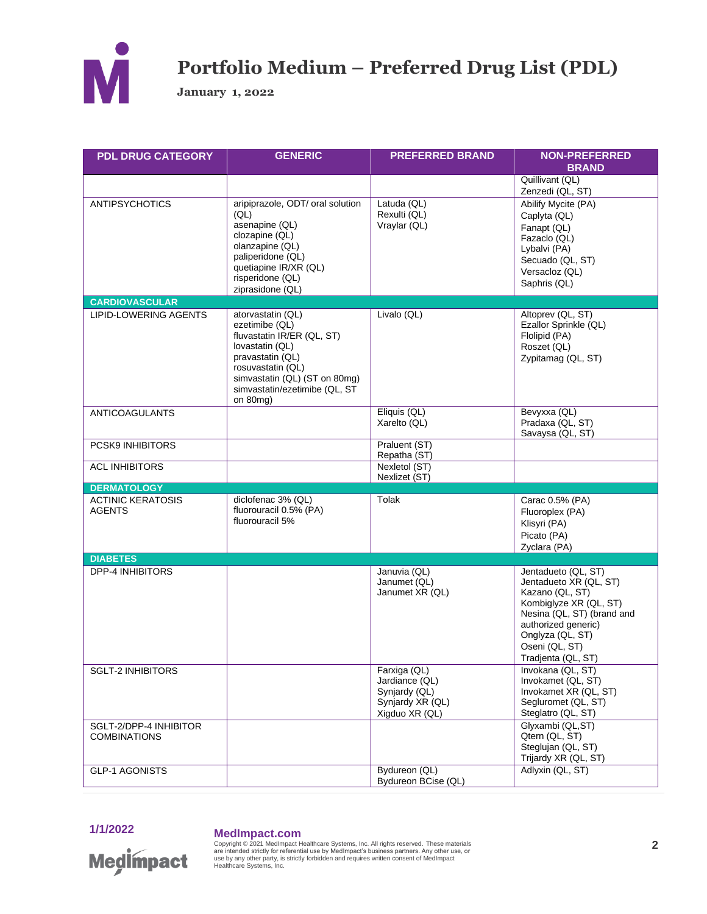

**January 1, 2022**

| <b>PDL DRUG CATEGORY</b>                      | <b>GENERIC</b>                                                                                                                                                                                              | <b>PREFERRED BRAND</b>                                                                | <b>NON-PREFERRED</b><br><b>BRAND</b>                                                                                                                                                                        |
|-----------------------------------------------|-------------------------------------------------------------------------------------------------------------------------------------------------------------------------------------------------------------|---------------------------------------------------------------------------------------|-------------------------------------------------------------------------------------------------------------------------------------------------------------------------------------------------------------|
|                                               |                                                                                                                                                                                                             |                                                                                       | Quillivant (QL)<br>Zenzedi (QL, ST)                                                                                                                                                                         |
| <b>ANTIPSYCHOTICS</b>                         | aripiprazole, ODT/ oral solution<br>(QL)<br>asenapine (QL)<br>clozapine (QL)<br>olanzapine (QL)<br>paliperidone (QL)<br>quetiapine IR/XR (QL)<br>risperidone (QL)<br>ziprasidone (QL)                       | Latuda (QL)<br>Rexulti (QL)<br>Vraylar (QL)                                           | Abilify Mycite (PA)<br>Caplyta (QL)<br>Fanapt (QL)<br>Fazaclo (QL)<br>Lybalvi (PA)<br>Secuado (QL, ST)<br>Versacloz (QL)<br>Saphris (QL)                                                                    |
| <b>CARDIOVASCULAR</b>                         |                                                                                                                                                                                                             |                                                                                       |                                                                                                                                                                                                             |
| LIPID-LOWERING AGENTS                         | atorvastatin (QL)<br>ezetimibe (QL)<br>fluvastatin IR/ER (QL, ST)<br>lovastatin (QL)<br>pravastatin (QL)<br>rosuvastatin (QL)<br>simvastatin (QL) (ST on 80mg)<br>simvastatin/ezetimibe (QL, ST<br>on 80mg) | Livalo (QL)                                                                           | Altoprev (QL, ST)<br>Ezallor Sprinkle (QL)<br>Flolipid (PA)<br>Roszet (QL)<br>Zypitamag (QL, ST)                                                                                                            |
| <b>ANTICOAGULANTS</b>                         |                                                                                                                                                                                                             | Eliquis (QL)<br>Xarelto (QL)                                                          | Bevyxxa (QL)<br>Pradaxa (QL, ST)<br>Savaysa (QL, ST)                                                                                                                                                        |
| PCSK9 INHIBITORS                              |                                                                                                                                                                                                             | Praluent (ST)<br>Repatha (ST)                                                         |                                                                                                                                                                                                             |
| <b>ACL INHIBITORS</b>                         |                                                                                                                                                                                                             | Nexletol (ST)<br>Nexlizet (ST)                                                        |                                                                                                                                                                                                             |
| <b>DERMATOLOGY</b>                            |                                                                                                                                                                                                             |                                                                                       |                                                                                                                                                                                                             |
| <b>ACTINIC KERATOSIS</b><br><b>AGENTS</b>     | diclofenac 3% (QL)<br>fluorouracil 0.5% (PA)<br>fluorouracil 5%                                                                                                                                             | Tolak                                                                                 | Carac 0.5% (PA)<br>Fluoroplex (PA)<br>Klisyri (PA)<br>Picato (PA)<br>Zyclara (PA)                                                                                                                           |
| <b>DIABETES</b>                               |                                                                                                                                                                                                             |                                                                                       |                                                                                                                                                                                                             |
| <b>DPP-4 INHIBITORS</b>                       |                                                                                                                                                                                                             | Januvia (QL)<br>Janumet (QL)<br>Janumet XR (QL)                                       | Jentadueto (QL, ST)<br>Jentadueto XR (QL, ST)<br>Kazano (QL, ST)<br>Kombiglyze XR (QL, ST)<br>Nesina (QL, ST) (brand and<br>authorized generic)<br>Onglyza (QL, ST)<br>Oseni (QL, ST)<br>Tradjenta (QL, ST) |
| <b>SGLT-2 INHIBITORS</b>                      |                                                                                                                                                                                                             | Farxiga (QL)<br>Jardiance (QL)<br>Synjardy (QL)<br>Synjardy XR (QL)<br>Xigduo XR (QL) | Invokana (QL, ST)<br>Invokamet (QL, ST)<br>Invokamet XR (QL, ST)<br>Segluromet (QL, ST)<br>Steglatro (QL, ST)                                                                                               |
| SGLT-2/DPP-4 INHIBITOR<br><b>COMBINATIONS</b> |                                                                                                                                                                                                             |                                                                                       | Glyxambi (QL,ST)<br>Qtern (QL, ST)<br>Steglujan (QL, ST)<br>Trijardy XR (QL, ST)                                                                                                                            |
| <b>GLP-1 AGONISTS</b>                         |                                                                                                                                                                                                             | Bydureon (QL)<br>Bydureon BCise (QL)                                                  | Adlyxin (QL, ST)                                                                                                                                                                                            |

## **1/1/2022 MedImpact.com**

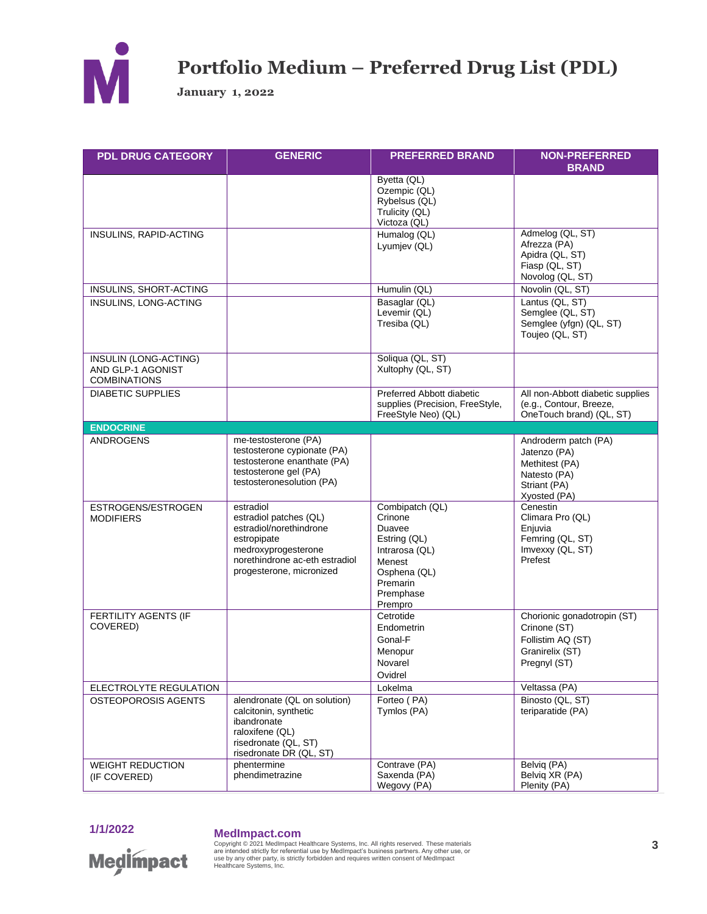

**January 1, 2022**

| <b>PDL DRUG CATEGORY</b>                                          | <b>GENERIC</b>                                                                                                                                                     | <b>PREFERRED BRAND</b>                                                                                                               | <b>NON-PREFERRED</b><br><b>BRAND</b>                                                                   |
|-------------------------------------------------------------------|--------------------------------------------------------------------------------------------------------------------------------------------------------------------|--------------------------------------------------------------------------------------------------------------------------------------|--------------------------------------------------------------------------------------------------------|
|                                                                   |                                                                                                                                                                    | Byetta (QL)<br>Ozempic (QL)<br>Rybelsus (QL)<br>Trulicity (QL)<br>Victoza (QL)                                                       |                                                                                                        |
| INSULINS, RAPID-ACTING                                            |                                                                                                                                                                    | Humalog (QL)<br>Lyumjev (QL)                                                                                                         | Admelog (QL, ST)<br>Afrezza (PA)<br>Apidra (QL, ST)<br>Fiasp (QL, ST)<br>Novolog (QL, ST)              |
| INSULINS, SHORT-ACTING                                            |                                                                                                                                                                    | Humulin (QL)                                                                                                                         | Novolin (QL, ST)                                                                                       |
| INSULINS, LONG-ACTING                                             |                                                                                                                                                                    | Basaglar (QL)<br>Levemir (QL)<br>Tresiba (QL)                                                                                        | Lantus (QL, ST)<br>Semglee (QL, ST)<br>Semglee (yfgn) (QL, ST)<br>Toujeo (QL, ST)                      |
| INSULIN (LONG-ACTING)<br>AND GLP-1 AGONIST<br><b>COMBINATIONS</b> |                                                                                                                                                                    | Soliqua (QL, ST)<br>Xultophy (QL, ST)                                                                                                |                                                                                                        |
| <b>DIABETIC SUPPLIES</b>                                          |                                                                                                                                                                    | Preferred Abbott diabetic<br>supplies (Precision, FreeStyle,<br>FreeStyle Neo) (QL)                                                  | All non-Abbott diabetic supplies<br>(e.g., Contour, Breeze,<br>OneTouch brand) (QL, ST)                |
| <b>ENDOCRINE</b>                                                  |                                                                                                                                                                    |                                                                                                                                      |                                                                                                        |
| <b>ANDROGENS</b>                                                  | me-testosterone (PA)<br>testosterone cypionate (PA)<br>testosterone enanthate (PA)<br>testosterone gel (PA)<br>testosteronesolution (PA)                           |                                                                                                                                      | Androderm patch (PA)<br>Jatenzo (PA)<br>Methitest (PA)<br>Natesto (PA)<br>Striant (PA)<br>Xyosted (PA) |
| ESTROGENS/ESTROGEN<br><b>MODIFIERS</b>                            | estradiol<br>estradiol patches (QL)<br>estradiol/norethindrone<br>estropipate<br>medroxyprogesterone<br>norethindrone ac-eth estradiol<br>progesterone, micronized | Combipatch (QL)<br>Crinone<br>Duavee<br>Estring (QL)<br>Intrarosa (QL)<br>Menest<br>Osphena (QL)<br>Premarin<br>Premphase<br>Prempro | Cenestin<br>Climara Pro (QL)<br>Enjuvia<br>Femring (QL, ST)<br>Imvexxy (QL, ST)<br>Prefest             |
| FERTILITY AGENTS (IF<br>COVERED)                                  |                                                                                                                                                                    | Cetrotide<br>Endometrin<br>Gonal-F<br>Menopur<br>Novarel<br>Ovidrel                                                                  | Chorionic gonadotropin (ST)<br>Crinone (ST)<br>Follistim AQ (ST)<br>Granirelix (ST)<br>Pregnyl (ST)    |
| ELECTROLYTE REGULATION                                            |                                                                                                                                                                    | Lokelma                                                                                                                              | Veltassa (PA)                                                                                          |
| <b>OSTEOPOROSIS AGENTS</b>                                        | alendronate (QL on solution)<br>calcitonin, synthetic<br>ibandronate<br>raloxifene (QL)<br>risedronate (QL, ST)<br>risedronate DR (QL, ST)                         | Forteo (PA)<br>Tymlos (PA)                                                                                                           | Binosto (QL, ST)<br>teriparatide (PA)                                                                  |
| <b>WEIGHT REDUCTION</b><br>(IF COVERED)                           | phentermine<br>phendimetrazine                                                                                                                                     | Contrave (PA)<br>Saxenda (PA)<br>Wegovy (PA)                                                                                         | Belvig (PA)<br>Belvig XR (PA)<br>Plenity (PA)                                                          |

## **1/1/2022 MedImpact.com**

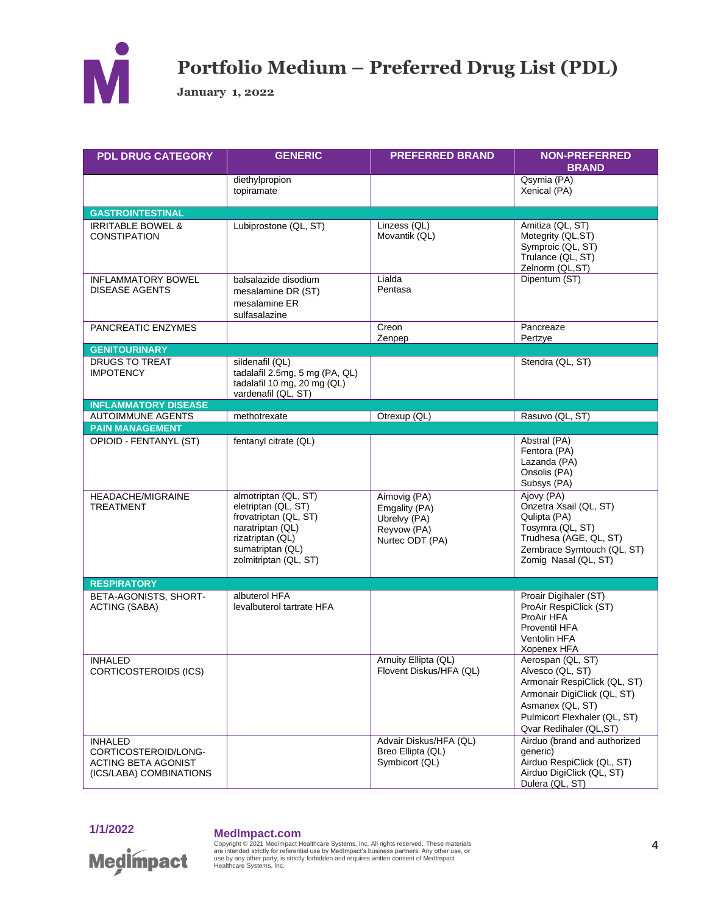

**January 1, 2022** 

| <b>PDL DRUG CATEGORY</b>                                                                        | <b>GENERIC</b>                                                                                                                                            | <b>PREFERRED BRAND</b>                                                          | <b>NON-PREFERRED</b><br><b>BRAND</b>                                                                                                                                               |
|-------------------------------------------------------------------------------------------------|-----------------------------------------------------------------------------------------------------------------------------------------------------------|---------------------------------------------------------------------------------|------------------------------------------------------------------------------------------------------------------------------------------------------------------------------------|
|                                                                                                 | diethylpropion<br>topiramate                                                                                                                              |                                                                                 | Qsymia (PA)<br>Xenical (PA)                                                                                                                                                        |
| <b>GASTROINTESTINAL</b>                                                                         |                                                                                                                                                           |                                                                                 |                                                                                                                                                                                    |
| <b>IRRITABLE BOWEL &amp;</b><br><b>CONSTIPATION</b>                                             | Lubiprostone (QL, ST)                                                                                                                                     | Linzess (QL)<br>Movantik (QL)                                                   | Amitiza (QL, ST)<br>Motegrity (QL,ST)<br>Symproic (QL, ST)<br>Trulance (QL, ST)<br>Zelnorm (QL,ST)                                                                                 |
| <b>INFLAMMATORY BOWEL</b><br><b>DISEASE AGENTS</b>                                              | balsalazide disodium<br>mesalamine DR (ST)<br>mesalamine ER<br>sulfasalazine                                                                              | Lialda<br>Pentasa                                                               | Dipentum (ST)                                                                                                                                                                      |
| PANCREATIC ENZYMES                                                                              |                                                                                                                                                           | Creon<br>Zenpep                                                                 | Pancreaze<br>Pertzye                                                                                                                                                               |
| <b>GENITOURINARY</b>                                                                            |                                                                                                                                                           |                                                                                 |                                                                                                                                                                                    |
| DRUGS TO TREAT<br><b>IMPOTENCY</b>                                                              | sildenafil (QL)<br>tadalafil 2.5mg, 5 mg (PA, QL)<br>tadalafil 10 mg, 20 mg (QL)<br>vardenafil (QL, ST)                                                   |                                                                                 | Stendra (QL, ST)                                                                                                                                                                   |
| <b>INFLAMMATORY DISEASE</b>                                                                     |                                                                                                                                                           |                                                                                 |                                                                                                                                                                                    |
| <b>AUTOIMMUNE AGENTS</b>                                                                        | methotrexate                                                                                                                                              | Otrexup (QL)                                                                    | Rasuvo (QL, ST)                                                                                                                                                                    |
| <b>PAIN MANAGEMENT</b>                                                                          |                                                                                                                                                           |                                                                                 |                                                                                                                                                                                    |
| OPIOID - FENTANYL (ST)                                                                          | fentanyl citrate (QL)                                                                                                                                     |                                                                                 | Abstral (PA)<br>Fentora (PA)<br>Lazanda (PA)<br>Onsolis (PA)<br>Subsys (PA)                                                                                                        |
| HEADACHE/MIGRAINE<br><b>TREATMENT</b>                                                           | almotriptan (QL, ST)<br>eletriptan (QL, ST)<br>frovatriptan (QL, ST)<br>naratriptan (QL)<br>rizatriptan (QL)<br>sumatriptan (QL)<br>zolmitriptan (QL, ST) | Aimovig (PA)<br>Emgality (PA)<br>Ubrelvy (PA)<br>Reyvow (PA)<br>Nurtec ODT (PA) | Ajovy (PA)<br>Onzetra Xsail (QL, ST)<br>Qulipta (PA)<br>Tosymra (QL, ST)<br>Trudhesa (AGE, QL, ST)<br>Zembrace Symtouch (QL, ST)<br>Zomig Nasal (QL, ST)                           |
| <b>RESPIRATORY</b>                                                                              |                                                                                                                                                           |                                                                                 |                                                                                                                                                                                    |
| BETA-AGONISTS, SHORT-<br><b>ACTING (SABA)</b>                                                   | albuterol HFA<br>levalbuterol tartrate HFA                                                                                                                |                                                                                 | Proair Digihaler (ST)<br>ProAir RespiClick (ST)<br>ProAir HFA<br><b>Proventil HFA</b><br>Ventolin HFA<br>Xopenex HFA                                                               |
| <b>INHALED</b><br>CORTICOSTEROIDS (ICS)                                                         |                                                                                                                                                           | Arnuity Ellipta (QL)<br>Flovent Diskus/HFA (QL)                                 | Aerospan (QL, ST)<br>Alvesco (QL, ST)<br>Armonair RespiClick (QL, ST)<br>Armonair DigiClick (QL, ST)<br>Asmanex (QL, ST)<br>Pulmicort Flexhaler (QL, ST)<br>Qvar Redihaler (QL,ST) |
| <b>INHALED</b><br>CORTICOSTEROID/LONG-<br><b>ACTING BETA AGONIST</b><br>(ICS/LABA) COMBINATIONS |                                                                                                                                                           | Advair Diskus/HFA (QL)<br>Breo Ellipta (QL)<br>Symbicort (QL)                   | Airduo (brand and authorized<br>qeneric)<br>Airduo RespiClick (QL, ST)<br>Airduo DigiClick (QL, ST)<br>Dulera (QL, ST)                                                             |

1/1/2022

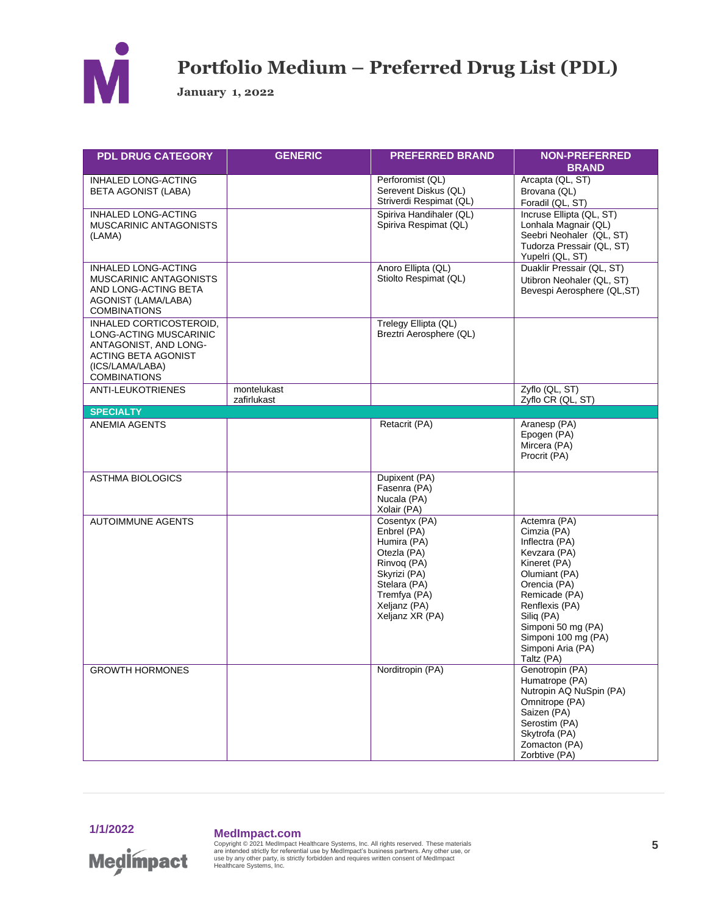

**January 1, 2022**

| <b>PDL DRUG CATEGORY</b>                                                                                                                    | <b>GENERIC</b>             | <b>PREFERRED BRAND</b>                                                                                                                                       | <b>NON-PREFERRED</b><br><b>BRAND</b>                                                                                                                                                                                                            |
|---------------------------------------------------------------------------------------------------------------------------------------------|----------------------------|--------------------------------------------------------------------------------------------------------------------------------------------------------------|-------------------------------------------------------------------------------------------------------------------------------------------------------------------------------------------------------------------------------------------------|
| INHALED LONG-ACTING<br><b>BETA AGONIST (LABA)</b>                                                                                           |                            | Perforomist (QL)<br>Serevent Diskus (QL)<br>Striverdi Respimat (QL)                                                                                          | Arcapta (QL, ST)<br>Brovana (QL)<br>Foradil (QL, ST)                                                                                                                                                                                            |
| <b>INHALED LONG-ACTING</b><br>MUSCARINIC ANTAGONISTS<br>(LAMA)                                                                              |                            | Spiriva Handihaler (QL)<br>Spiriva Respimat (QL)                                                                                                             | Incruse Ellipta (QL, ST)<br>Lonhala Magnair (QL)<br>Seebri Neohaler (QL, ST)<br>Tudorza Pressair (QL, ST)<br>Yupelri (QL, ST)                                                                                                                   |
| <b>INHALED LONG-ACTING</b><br>MUSCARINIC ANTAGONISTS<br>AND LONG-ACTING BETA<br>AGONIST (LAMA/LABA)<br><b>COMBINATIONS</b>                  |                            | Anoro Ellipta (QL)<br>Stiolto Respimat (QL)                                                                                                                  | Duaklir Pressair (QL, ST)<br>Utibron Neohaler (QL, ST)<br>Bevespi Aerosphere (QL,ST)                                                                                                                                                            |
| INHALED CORTICOSTEROID,<br>LONG-ACTING MUSCARINIC<br>ANTAGONIST, AND LONG-<br>ACTING BETA AGONIST<br>(ICS/LAMA/LABA)<br><b>COMBINATIONS</b> |                            | Trelegy Ellipta (QL)<br>Breztri Aerosphere (QL)                                                                                                              |                                                                                                                                                                                                                                                 |
| <b>ANTI-LEUKOTRIENES</b>                                                                                                                    | montelukast<br>zafirlukast |                                                                                                                                                              | Zyflo (QL, ST)<br>Zyflo CR (QL, ST)                                                                                                                                                                                                             |
| <b>SPECIALTY</b>                                                                                                                            |                            |                                                                                                                                                              |                                                                                                                                                                                                                                                 |
| ANEMIA AGENTS                                                                                                                               |                            | Retacrit (PA)                                                                                                                                                | Aranesp (PA)<br>Epogen (PA)<br>Mircera (PA)<br>Procrit (PA)                                                                                                                                                                                     |
| <b>ASTHMA BIOLOGICS</b>                                                                                                                     |                            | Dupixent (PA)<br>Fasenra (PA)<br>Nucala (PA)<br>Xolair (PA)                                                                                                  |                                                                                                                                                                                                                                                 |
| <b>AUTOIMMUNE AGENTS</b>                                                                                                                    |                            | Cosentyx (PA)<br>Enbrel (PA)<br>Humira (PA)<br>Otezla (PA)<br>Rinvog (PA)<br>Skyrizi (PA)<br>Stelara (PA)<br>Tremfya (PA)<br>Xeljanz (PA)<br>Xeljanz XR (PA) | Actemra (PA)<br>Cimzia (PA)<br>Inflectra (PA)<br>Kevzara (PA)<br>Kineret (PA)<br>Olumiant (PA)<br>Orencia (PA)<br>Remicade (PA)<br>Renflexis (PA)<br>Siliq (PA)<br>Simponi 50 mg (PA)<br>Simponi 100 mg (PA)<br>Simponi Aria (PA)<br>Taltz (PA) |
| <b>GROWTH HORMONES</b>                                                                                                                      |                            | Norditropin (PA)                                                                                                                                             | Genotropin (PA)<br>Humatrope (PA)<br>Nutropin AQ NuSpin (PA)<br>Omnitrope (PA)<br>Saizen (PA)<br>Serostim (PA)<br>Skytrofa (PA)<br>Zomacton (PA)<br>Zorbtive (PA)                                                                               |



## **1/1/2022 MedImpact.com**